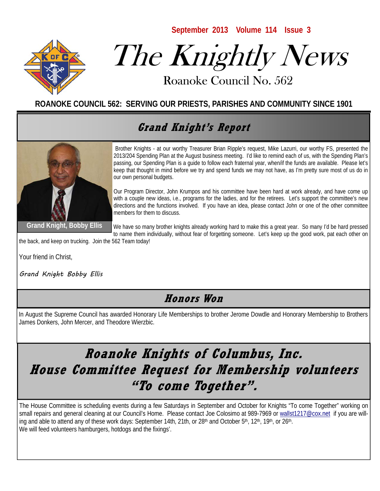**September 2013 Volume 114 Issue 3** 



# The Knightly News

Roanoke Council No. 562 Roanoke Council No. 562

**ROANOKE COUNCIL 562: SERVING OUR PRIESTS, PARISHES AND COMMUNITY SINCE 1901**

## **Grand Knight's Report**



Brother Knights - at our worthy Treasurer Brian Ripple's request, Mike Lazurri, our worthy FS, presented the 2013/204 Spending Plan at the August business meeting. I'd like to remind each of us, with the Spending Plan's passing, our Spending Plan is a guide to follow each fraternal year, when/if the funds are available. Please let's keep that thought in mind before we try and spend funds we may not have, as I'm pretty sure most of us do in our own personal budgets.

Our Program Director, John Krumpos and his committee have been hard at work already, and have come up with a couple new ideas, i.e., programs for the ladies, and for the retirees. Let's support the committee's new directions and the functions involved. If you have an idea, please contact John or one of the other committee members for them to discuss.

**Grand Knight, Bobby Ellis** 

We have so many brother knights already working hard to make this a great year. So many I'd be hard pressed to name them individually, without fear of forgetting someone. Let's keep up the good work, pat each other on

the back, and keep on trucking. Join the 562 Team today!

Your friend in Christ,

Grand Knight Bobby Ellis

#### **Honors Won**

In August the Supreme Council has awarded Honorary Life Memberships to brother Jerome Dowdle and Honorary Membership to Brothers James Donkers, John Mercer, and Theodore Wierzbic.

## **Roanoke Knights of Columbus, Inc. House Committee Request for Membership volunteers "To come Together".**

The House Committee is scheduling events during a few Saturdays in September and October for Knights "To come Together" working on small repairs and general cleaning at our Council's Home. Please contact Joe Colosimo at 989-7969 or wallst1217@cox.net if you are willing and able to attend any of these work days: September 14th, 21th, or 28<sup>th</sup> and October 5<sup>th</sup>, 12<sup>th</sup>, 19<sup>th</sup>, or 26<sup>th</sup>. We will feed volunteers hamburgers, hotdogs and the fixings'.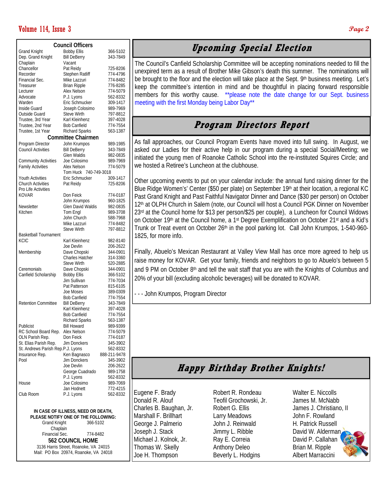#### Volume 114, Issue 3 **Page 2**

| <b>Council Officers</b>           |                                        |                      |
|-----------------------------------|----------------------------------------|----------------------|
|                                   |                                        |                      |
| <b>Grand Knight</b>               | <b>Bobby Ellis</b>                     | 366-5102<br>343-7849 |
| Dep. Grand Knight<br>Chaplain     | <b>Bill DeBerry</b><br>Vacant          |                      |
| Chancellor                        | Pat Reidy                              | 725-8206             |
| Recorder                          | Stephen Ratliff                        | 774-4796             |
| Financial Sec.                    | Mike Lazzuri                           | 774-8482             |
| Treasurer                         | <b>Brian Ripple</b>                    | 776-8285             |
| Lecturer                          | Alex Nelson                            | 774-5079             |
| Advocate                          | P.J. Lyons                             | 562-8332             |
| Warden                            | Eric Schmucker                         | 309-1417             |
| Inside Guard                      | Joseph Colosimo                        | 989-7969             |
| Outside Guard                     | <b>Steve Wirth</b>                     | 797-8812             |
| Trustee, 3rd Year                 | Karl Kleinhenz                         | 397-4028             |
| Trustee, 2nd Year                 | <b>Bob Canfield</b>                    | 774-7554             |
| Trustee, 1st Year                 | <b>Richard Sparks</b>                  | 563-1387             |
| <b>Committee Chairmen</b>         |                                        |                      |
| Program Director                  | John Krumpos                           | 989-1985             |
| <b>Council Activities</b>         | <b>Bill DeBerry</b>                    | 343-7849             |
|                                   | Glen Waldis                            | 982-0835             |
| <b>Community Activities</b>       | Joe Colosimo                           | 989-7969             |
| <b>Family Activities</b>          | Alex Nelson                            | 774-5079             |
|                                   | 740-749-3018<br>Tom Huck               |                      |
| Youth Activities                  | Eric Schmucker                         | 309-1417             |
| <b>Church Activities</b>          | Pat Reidy                              | 725-8206             |
| Pro Life Activities               |                                        |                      |
| <b>KOVAR</b>                      | Don Feick                              | 774-0187             |
|                                   | John Krumpos                           | 960-1825             |
| Newsletter                        | Glen David Waldis                      | 982-0835             |
| Kitchen                           | Tom Engl                               | 989-3708             |
|                                   | John Church                            | 588-7968             |
|                                   | Mike Lazzuri                           | 774-8482             |
|                                   | <b>Steve Wirth</b>                     | 797-8812             |
| <b>Basketball Tournament</b>      |                                        |                      |
| <b>KCIC</b>                       | Karl Kleinhenz                         | 982-8140             |
|                                   | Joe Devlin                             | 206-2622             |
| Membership                        | Dave Chopski<br><b>Charles Hatcher</b> | 344-0901<br>314-3360 |
|                                   | <b>Steve Wirth</b>                     | 520-2885             |
| Ceremonials                       | Dave Chopski                           | 344-0901             |
| Canfield Scholarship              | <b>Bobby Ellis</b>                     | 366-5102             |
|                                   | Jim Sullivan                           | 774-7034             |
|                                   | Pat Patterson                          | 815-6105             |
|                                   | Joe Moses                              | 389-0309             |
|                                   | <b>Bob Canfield</b>                    | 774-7554             |
| <b>Retention Committee</b>        | <b>Bill DeBerry</b>                    | 343-7849             |
|                                   | Karl Kleinhenz                         | 397-4028             |
|                                   | <b>Bob Canfield</b>                    | 774-7554             |
|                                   | <b>Richard Sparks</b>                  | 563-1387             |
| Publicist                         | <b>Bill Howard</b>                     | 989-9399             |
| RC School Board Rep.              | Alex Nelson                            | 774-5079             |
| OLN Parish Rep.                   | Don Feick                              | 774-0187             |
| St. Elias Parish Rep.             | Jim Donckers                           | 345-3902             |
| St. Andrews Parish Rep.P.J. Lyons |                                        | 562-8332             |
| Insurance Rep.                    | Ken Bagnasco                           | 888-211-9478         |
| Pool                              | Jim Donckers                           | 345-3902             |
|                                   | Joe Devlin                             | 206-2622             |
|                                   | George Cuadrado                        | 989-1758             |
|                                   | P.J. Lyons                             | 562-8332             |
| House                             | Joe Colosimo                           | 989-7069             |
|                                   | Jan Hodnett                            | 772-4215             |
| Club Room                         | P.J. Lyons                             | 562-8332             |
|                                   |                                        |                      |
|                                   |                                        |                      |

**IN CASE OF ILLNESS, NEED OR DEATH, PLEASE NOTIFY ONE OF THE FOLLOWING:**  Grand Knight 366-5102 Chaplain Financial Sec. 774-8482 **562 COUNCIL HOME**  3136 Harris Street, Roanoke, VA 24015 Mail: PO Box 20974, Roanoke, VA 24018

#### **Upcoming Special Election**

The Council's Canfield Scholarship Committee will be accepting nominations needed to fill the unexpired term as a result of Brother Mike Gibson's death this summer. The nominations will be brought to the floor and the election will take place at the Sept. 9<sup>th</sup> business meeting. Let's keep the committee's intention in mind and be thoughtful in placing forward responsible members for this worthy cause. \*\*please note the date change for our Sept. business meeting with the first Monday being Labor Day\*\*

#### **Program Directors Report**

As fall approaches, our Council Program Events have moved into full swing. In August, we asked our Ladies for their active help in our program during a special Social/Meeting; we initiated the young men of Roanoke Catholic School into the re-instituted Squires Circle; and we hosted a Retiree's Luncheon at the clubhouse.

Other upcoming events to put on your calendar include: the annual fund raising dinner for the Blue Ridge Women's' Center (\$50 per plate) on September 19th at their location, a regional KC Past Grand Knight and Past Faithful Navigator Dinner and Dance (\$30 per person) on October 12th at OLPH Church in Salem (note, our Council will host a Council PGK Dinner on November 23rd at the Council home for \$13 per person/\$25 per couple), a Luncheon for Council Widows on October 19th at the Council home, a 1<sup>st</sup> Degree Exemplification on October 21<sup>st</sup> and a Kid's Trunk or Treat event on October 26<sup>th</sup> in the pool parking lot. Call John Krumpos, 1-540-960-1825, for more info.

Finally, Abuelo's Mexican Restaurant at Valley View Mall has once more agreed to help us raise money for KOVAR. Get your family, friends and neighbors to go to Abuelo's between 5 and 9 PM on October 8<sup>th</sup> and tell the wait staff that you are with the Knights of Columbus and 20% of your bill (excluding alcoholic beverages) will be donated to KOVAR.

- - - John Krumpos, Program Director

## **Happy Birthday Brother Knights!**

Eugene F. Brady Donald R. Alouf Charles B. Baughan, Jr. Marshall F. Brillhart George J. Palmerio Joseph J. Stack Michael J. Kolnok, Jr. Thomas W. Skelly Joe H. Thompson

Robert R. Rondeau Teofil Grochowski, Jr. Robert G. Ellis Larry Meadows John J. Reinwald Jimmy L. Ribble Ray E. Correia Anthony Deleo Beverly L. Hodgins

Walter E. Niccolls James M. McNabb James J. Christiano, II John F. Rowland H. Patrick Russell David W. Alderman David P. Callahan Brian M. Ripple Albert Marraccini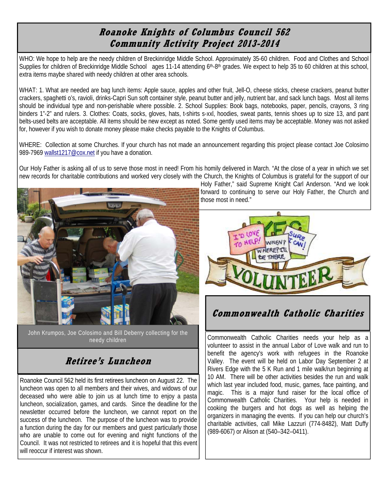#### **Roanoke Knights of Columbus Council 562 Community Activity Project 2013-2014**

WHO: We hope to help are the needy children of Breckinridge Middle School. Approximately 35-60 children. Food and Clothes and School Supplies for children of Breckinridge Middle School ages 11-14 attending 6<sup>th</sup>-8<sup>th</sup> grades. We expect to help 35 to 60 children at this school, extra items maybe shared with needy children at other area schools.

WHAT: 1. What are needed are bag lunch items: Apple sauce, apples and other fruit, Jell-O, cheese sticks, cheese crackers, peanut butter crackers, spaghetti o's, ravioli, drinks-Capri Sun soft container style, peanut butter and jelly, nutrient bar, and sack lunch bags. Most all items should be individual type and non-perishable where possible. 2. School Supplies: Book bags, notebooks, paper, pencils, crayons, 3 ring binders 1"-2" and rulers. 3. Clothes: Coats, socks, gloves, hats, t-shirts s-xxl, hoodies, sweat pants, tennis shoes up to size 13, and pant belts-used belts are acceptable. All items should be new except as noted. Some gently used items may be acceptable. Money was not asked for, however if you wish to donate money please make checks payable to the Knights of Columbus.

WHERE: Collection at some Churches. If your church has not made an announcement regarding this project please contact Joe Colosimo 989-7969 wallst1217@cox.net if you have a donation.

Our Holy Father is asking all of us to serve those most in need! From his homily delivered in March. "At the close of a year in which we set new records for charitable contributions and worked very closely with the Church, the Knights of Columbus is grateful for the support of our



John Krumpos, Joe Colosimo and Bill Deberry collecting for the needy children

### **Retiree's Luncheon**

Roanoke Council 562 held its first retirees luncheon on August 22. The luncheon was open to all members and their wives, and widows of our deceased who were able to join us at lunch time to enjoy a pasta luncheon, socialization, games, and cards. Since the deadline for the newsletter occurred before the luncheon, we cannot report on the success of the luncheon. The purpose of the luncheon was to provide a function during the day for our members and guest particularly those who are unable to come out for evening and night functions of the Council. It was not restricted to retirees and it is hopeful that this event will reoccur if interest was shown.

Holy Father," said Supreme Knight Carl Anderson. "And we look forward to continuing to serve our Holy Father, the Church and those most in need."



#### **Commonwealth Catholic Charities**

Commonwealth Catholic Charities needs your help as a volunteer to assist in the annual Labor of Love walk and run to benefit the agency's work with refugees in the Roanoke Valley. The event will be held on Labor Day September 2 at Rivers Edge with the 5 K Run and 1 mile walk/run beginning at 10 AM. There will be other activities besides the run and walk which last year included food, music, games, face painting, and magic. This is a major fund raiser for the local office of Commonwealth Catholic Charities. Your help is needed in cooking the burgers and hot dogs as well as helping the organizers in managing the events. If you can help our church's charitable activities, call Mike Lazzuri (774-8482), Matt Duffy (989-6067) or Alison at (540–342–0411).